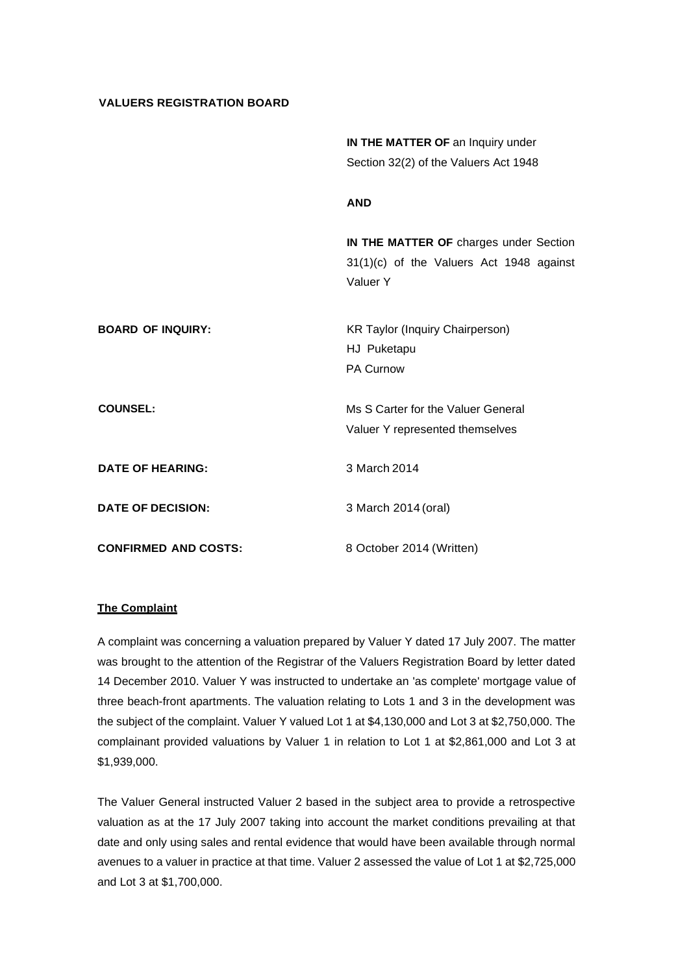## **VALUERS REGISTRATION BOARD**

|                             | IN THE MATTER OF an Inquiry under                    |
|-----------------------------|------------------------------------------------------|
|                             | Section 32(2) of the Valuers Act 1948                |
|                             | <b>AND</b>                                           |
|                             | IN THE MATTER OF charges under Section               |
|                             | 31(1)(c) of the Valuers Act 1948 against<br>Valuer Y |
| <b>BOARD OF INQUIRY:</b>    | <b>KR Taylor (Inquiry Chairperson)</b>               |
|                             | HJ Puketapu<br>PA Curnow                             |
| <b>COUNSEL:</b>             | Ms S Carter for the Valuer General                   |
|                             | Valuer Y represented themselves                      |
| <b>DATE OF HEARING:</b>     | 3 March 2014                                         |
| <b>DATE OF DECISION:</b>    | 3 March 2014 (oral)                                  |
| <b>CONFIRMED AND COSTS:</b> | 8 October 2014 (Written)                             |

## **The Complaint**

A complaint was concerning a valuation prepared by Valuer Y dated 17 July 2007. The matter was brought to the attention of the Registrar of the Valuers Registration Board by letter dated 14 December 2010. Valuer Y was instructed to undertake an 'as complete' mortgage value of three beach-front apartments. The valuation relating to Lots 1 and 3 in the development was the subject of the complaint. Valuer Y valued Lot 1 at \$4,130,000 and Lot 3 at \$2,750,000. The complainant provided valuations by Valuer 1 in relation to Lot 1 at \$2,861,000 and Lot 3 at \$1,939,000.

The Valuer General instructed Valuer 2 based in the subject area to provide a retrospective valuation as at the 17 July 2007 taking into account the market conditions prevailing at that date and only using sales and rental evidence that would have been available through normal avenues to a valuer in practice at that time. Valuer 2 assessed the value of Lot 1 at \$2,725,000 and Lot 3 at \$1,700,000.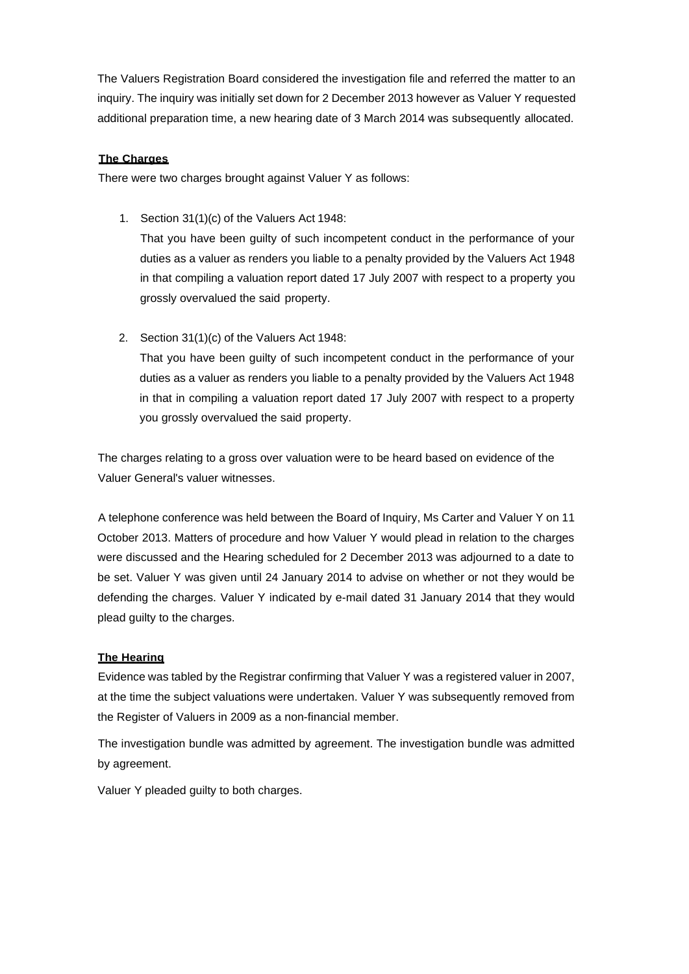The Valuers Registration Board considered the investigation file and referred the matter to an inquiry. The inquiry was initially set down for 2 December 2013 however as Valuer Y requested additional preparation time, a new hearing date of 3 March 2014 was subsequently allocated.

# **The Charges**

There were two charges brought against Valuer Y as follows:

1. Section 31(1)(c) of the Valuers Act 1948:

That you have been guilty of such incompetent conduct in the performance of your duties as a valuer as renders you liable to a penalty provided by the Valuers Act 1948 in that compiling a valuation report dated 17 July 2007 with respect to a property you grossly overvalued the said property.

2. Section 31(1)(c) of the Valuers Act 1948:

That you have been guilty of such incompetent conduct in the performance of your duties as a valuer as renders you liable to a penalty provided by the Valuers Act 1948 in that in compiling a valuation report dated 17 July 2007 with respect to a property you grossly overvalued the said property.

The charges relating to a gross over valuation were to be heard based on evidence of the Valuer General's valuer witnesses.

A telephone conference was held between the Board of Inquiry, Ms Carter and Valuer Y on 11 October 2013. Matters of procedure and how Valuer Y would plead in relation to the charges were discussed and the Hearing scheduled for 2 December 2013 was adjourned to a date to be set. Valuer Y was given until 24 January 2014 to advise on whether or not they would be defending the charges. Valuer Y indicated by e-mail dated 31 January 2014 that they would plead guilty to the charges.

# **The Hearing**

Evidence was tabled by the Registrar confirming that Valuer Y was a registered valuer in 2007, at the time the subject valuations were undertaken. Valuer Y was subsequently removed from the Register of Valuers in 2009 as a non-financial member.

The investigation bundle was admitted by agreement. The investigation bundle was admitted by agreement.

Valuer Y pleaded guilty to both charges.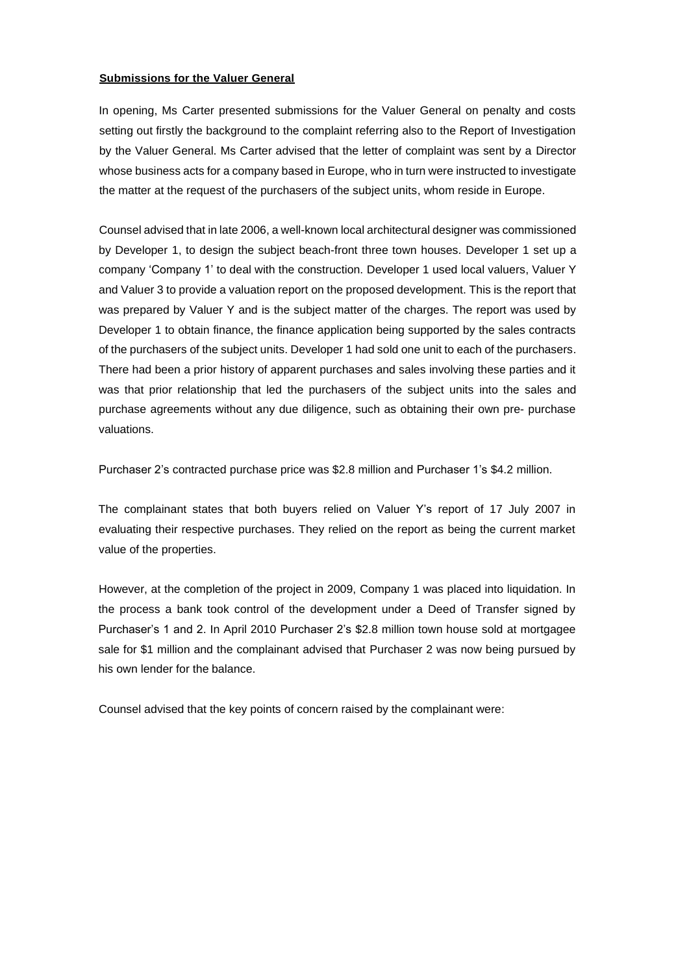## **Submissions for the Valuer General**

In opening, Ms Carter presented submissions for the Valuer General on penalty and costs setting out firstly the background to the complaint referring also to the Report of Investigation by the Valuer General. Ms Carter advised that the letter of complaint was sent by a Director whose business acts for a company based in Europe, who in turn were instructed to investigate the matter at the request of the purchasers of the subject units, whom reside in Europe.

Counsel advised that in late 2006, a well-known local architectural designer was commissioned by Developer 1, to design the subject beach-front three town houses. Developer 1 set up a company 'Company 1' to deal with the construction. Developer 1 used local valuers, Valuer Y and Valuer 3 to provide a valuation report on the proposed development. This is the report that was prepared by Valuer Y and is the subject matter of the charges. The report was used by Developer 1 to obtain finance, the finance application being supported by the sales contracts of the purchasers of the subject units. Developer 1 had sold one unit to each of the purchasers. There had been a prior history of apparent purchases and sales involving these parties and it was that prior relationship that led the purchasers of the subject units into the sales and purchase agreements without any due diligence, such as obtaining their own pre- purchase valuations.

Purchaser 2's contracted purchase price was \$2.8 million and Purchaser 1's \$4.2 million.

The complainant states that both buyers relied on Valuer Y's report of 17 July 2007 in evaluating their respective purchases. They relied on the report as being the current market value of the properties.

However, at the completion of the project in 2009, Company 1 was placed into liquidation. In the process a bank took control of the development under a Deed of Transfer signed by Purchaser's 1 and 2. In April 2010 Purchaser 2's \$2.8 million town house sold at mortgagee sale for \$1 million and the complainant advised that Purchaser 2 was now being pursued by his own lender for the balance.

Counsel advised that the key points of concern raised by the complainant were: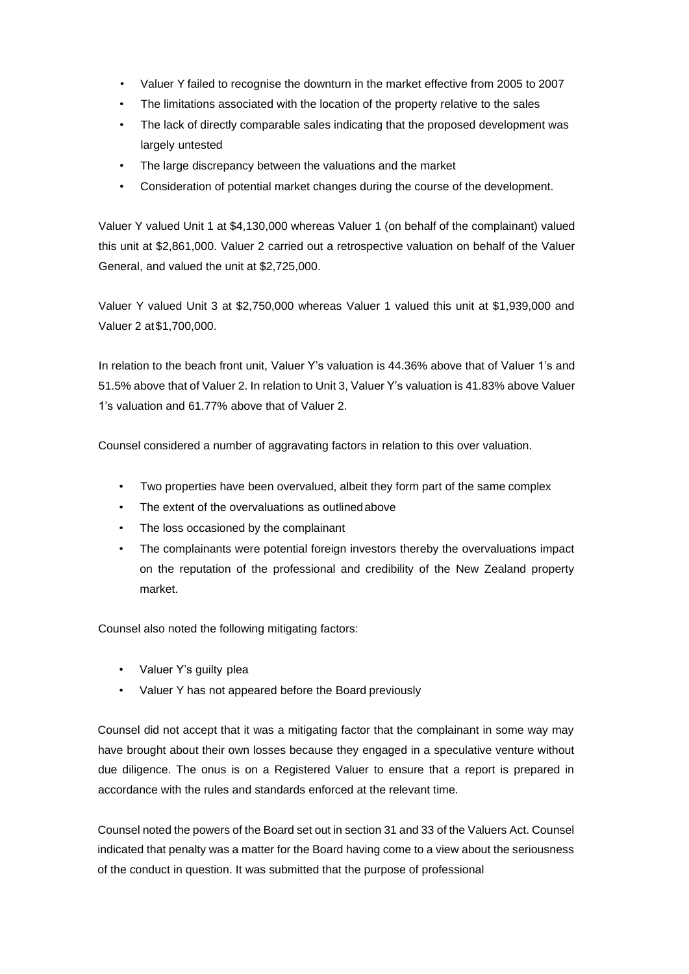- Valuer Y failed to recognise the downturn in the market effective from 2005 to 2007
- The limitations associated with the location of the property relative to the sales
- The lack of directly comparable sales indicating that the proposed development was largely untested
- The large discrepancy between the valuations and the market
- Consideration of potential market changes during the course of the development.

Valuer Y valued Unit 1 at \$4,130,000 whereas Valuer 1 (on behalf of the complainant) valued this unit at \$2,861,000. Valuer 2 carried out a retrospective valuation on behalf of the Valuer General, and valued the unit at \$2,725,000.

Valuer Y valued Unit 3 at \$2,750,000 whereas Valuer 1 valued this unit at \$1,939,000 and Valuer 2 at\$1,700,000.

In relation to the beach front unit, Valuer Y's valuation is 44.36% above that of Valuer 1's and 51.5% above that of Valuer 2. In relation to Unit 3, Valuer Y's valuation is 41.83% above Valuer 1's valuation and 61.77% above that of Valuer 2.

Counsel considered a number of aggravating factors in relation to this over valuation.

- Two properties have been overvalued, albeit they form part of the same complex
- The extent of the overvaluations as outlinedabove
- The loss occasioned by the complainant
- The complainants were potential foreign investors thereby the overvaluations impact on the reputation of the professional and credibility of the New Zealand property market.

Counsel also noted the following mitigating factors:

- Valuer Y's guilty plea
- Valuer Y has not appeared before the Board previously

Counsel did not accept that it was a mitigating factor that the complainant in some way may have brought about their own losses because they engaged in a speculative venture without due diligence. The onus is on a Registered Valuer to ensure that a report is prepared in accordance with the rules and standards enforced at the relevant time.

Counsel noted the powers of the Board set out in section 31 and 33 of the Valuers Act. Counsel indicated that penalty was a matter for the Board having come to a view about the seriousness of the conduct in question. It was submitted that the purpose of professional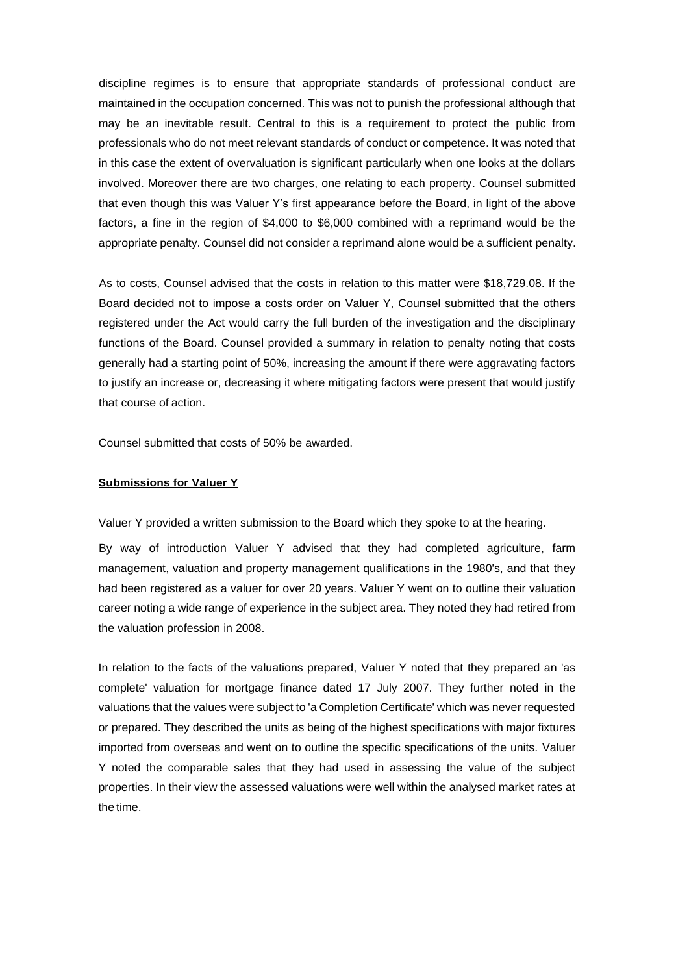discipline regimes is to ensure that appropriate standards of professional conduct are maintained in the occupation concerned. This was not to punish the professional although that may be an inevitable result. Central to this is a requirement to protect the public from professionals who do not meet relevant standards of conduct or competence. It was noted that in this case the extent of overvaluation is significant particularly when one looks at the dollars involved. Moreover there are two charges, one relating to each property. Counsel submitted that even though this was Valuer Y's first appearance before the Board, in light of the above factors, a fine in the region of \$4,000 to \$6,000 combined with a reprimand would be the appropriate penalty. Counsel did not consider a reprimand alone would be a sufficient penalty.

As to costs, Counsel advised that the costs in relation to this matter were \$18,729.08. If the Board decided not to impose a costs order on Valuer Y, Counsel submitted that the others registered under the Act would carry the full burden of the investigation and the disciplinary functions of the Board. Counsel provided a summary in relation to penalty noting that costs generally had a starting point of 50%, increasing the amount if there were aggravating factors to justify an increase or, decreasing it where mitigating factors were present that would justify that course of action.

Counsel submitted that costs of 50% be awarded.

#### **Submissions for Valuer Y**

Valuer Y provided a written submission to the Board which they spoke to at the hearing.

By way of introduction Valuer Y advised that they had completed agriculture, farm management, valuation and property management qualifications in the 1980's, and that they had been registered as a valuer for over 20 years. Valuer Y went on to outline their valuation career noting a wide range of experience in the subject area. They noted they had retired from the valuation profession in 2008.

In relation to the facts of the valuations prepared, Valuer Y noted that they prepared an 'as complete' valuation for mortgage finance dated 17 July 2007. They further noted in the valuations that the values were subject to 'a Completion Certificate' which was never requested or prepared. They described the units as being of the highest specifications with major fixtures imported from overseas and went on to outline the specific specifications of the units. Valuer Y noted the comparable sales that they had used in assessing the value of the subject properties. In their view the assessed valuations were well within the analysed market rates at the time.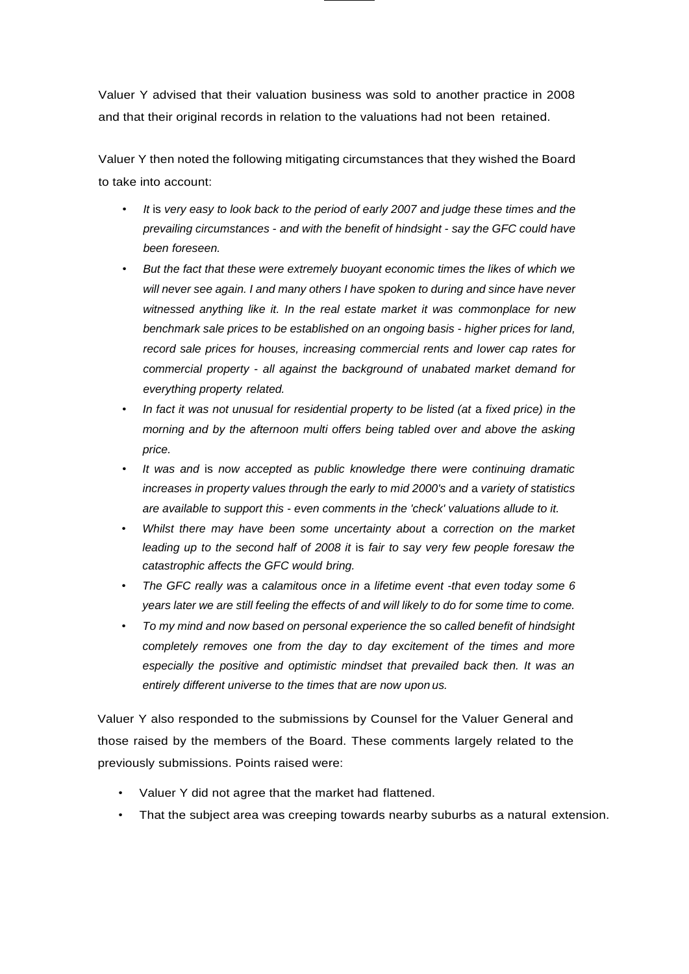Valuer Y advised that their valuation business was sold to another practice in 2008 and that their original records in relation to the valuations had not been retained.

Valuer Y then noted the following mitigating circumstances that they wished the Board to take into account:

- *It* is *very easy to look back to the period of early 2007 and judge these times and the prevailing circumstances* - *and with the benefit of hindsight* - *say the GFC could have been foreseen.*
- *But the fact that these were extremely buoyant economic times the likes of which we will never see again. I and many others I have spoken to during and since have never witnessed anything like it. In the real estate market it was commonplace for new benchmark sale prices to be established on an ongoing basis* - *higher prices for land, record sale prices for houses, increasing commercial rents and lower cap rates for commercial property* - *all against the background of unabated market demand for everything property related.*
- In fact it was not unusual for residential property to be listed (at a fixed price) in the *morning and by the afternoon multi offers being tabled over and above the asking price.*
- *It was and* is *now accepted* as *public knowledge there were continuing dramatic increases in property values through the early to mid 2000's and* a *variety of statistics are available to support this* - *even comments in the 'check' valuations allude to it.*
- *Whilst there may have been some uncertainty about* a *correction on the market leading up to the second half of 2008 it* is *fair to say very few people foresaw the catastrophic affects the GFC would bring.*
- *The GFC really was* a *calamitous once in* a *lifetime event -that even today some 6 years later we are still feeling the effects of and will likely to do for some time to come.*
- *To my mind and now based on personal experience the* so *called benefit of hindsight completely removes one from the day to day excitement of the times and more especially the positive and optimistic mindset that prevailed back then. It was an entirely different universe to the times that are now upon us.*

Valuer Y also responded to the submissions by Counsel for the Valuer General and those raised by the members of the Board. These comments largely related to the previously submissions. Points raised were:

- Valuer Y did not agree that the market had flattened.
- That the subject area was creeping towards nearby suburbs as a natural extension.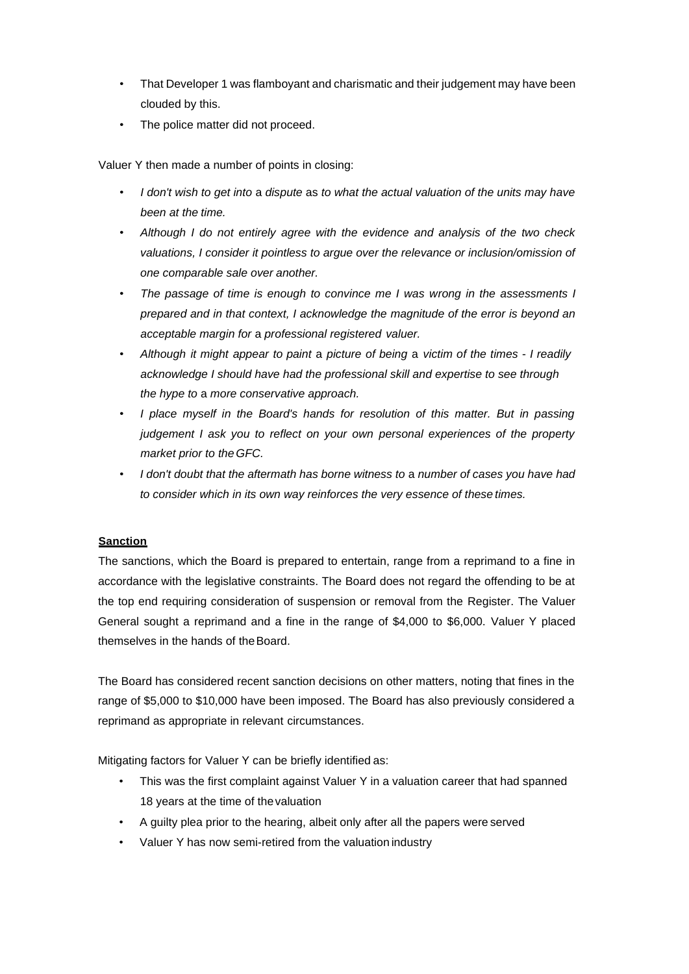- That Developer 1 was flamboyant and charismatic and their judgement may have been clouded by this.
- The police matter did not proceed.

Valuer Y then made a number of points in closing:

- *I don't wish to get into* a *dispute* as *to what the actual valuation of the units may have been at the time.*
- *Although I do not entirely agree with the evidence and analysis of the two check valuations, I consider it pointless to argue over the relevance or inclusion/omission of one comparable sale over another.*
- *The passage of time is enough to convince me I was wrong in the assessments I prepared and in that context, I acknowledge the magnitude of the error is beyond an acceptable margin for* a *professional registered valuer.*
- *Although it might appear to paint* a *picture of being* a *victim of the times I readily acknowledge I should have had the professional skill and expertise to see through the hype to* a *more conservative approach.*
- *I place myself in the Board's hands for resolution of this matter. But in passing judgement I ask you to reflect on your own personal experiences of the property market prior to the GFC.*
- *I don't doubt that the aftermath has borne witness to* a *number of cases you have had to consider which in its own way reinforces the very essence of these times.*

# **Sanction**

The sanctions, which the Board is prepared to entertain, range from a reprimand to a fine in accordance with the legislative constraints. The Board does not regard the offending to be at the top end requiring consideration of suspension or removal from the Register. The Valuer General sought a reprimand and a fine in the range of \$4,000 to \$6,000. Valuer Y placed themselves in the hands of theBoard.

The Board has considered recent sanction decisions on other matters, noting that fines in the range of \$5,000 to \$10,000 have been imposed. The Board has also previously considered a reprimand as appropriate in relevant circumstances.

Mitigating factors for Valuer Y can be briefly identified as:

- This was the first complaint against Valuer Y in a valuation career that had spanned 18 years at the time of thevaluation
- A guilty plea prior to the hearing, albeit only after all the papers were served
- Valuer Y has now semi-retired from the valuation industry